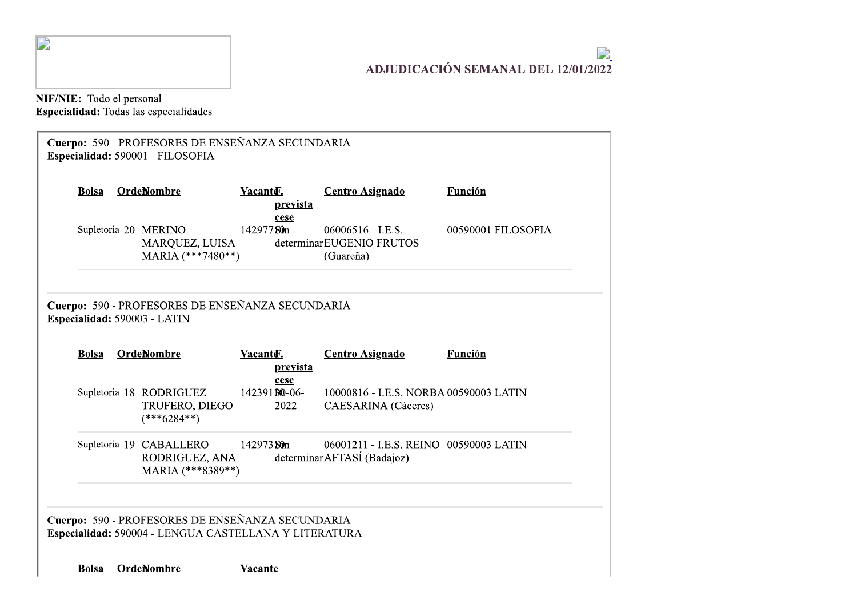

J.

## $\mathcal{L}$ **ADJUDICACIÓN SEMANAL DEL 12/01/2022**

NIF/NIE: Todo el personal<br>Especialidad: Todas las especialidades

| <b>Bolsa</b> | <b>OrdeNombre</b>                                                                | Vacante.<br>prevista          | <b>Centro Asignado</b>                                               | Función            |
|--------------|----------------------------------------------------------------------------------|-------------------------------|----------------------------------------------------------------------|--------------------|
|              | Supletoria 20 MERINO<br>MARQUEZ, LUISA<br>MARIA (***7480**)                      | cese<br>14297750m             | $06006516 - I.E.S.$<br>determinarEUGENIO FRUTOS<br>(Guareña)         | 00590001 FILOSOFIA |
|              | Cuerpo: 590 - PROFESORES DE ENSEÑANZA SECUNDARIA<br>Especialidad: 590003 - LATIN |                               |                                                                      |                    |
|              |                                                                                  |                               |                                                                      |                    |
| <b>Bolsa</b> | <b>OrdeNombre</b>                                                                | Vacanter.<br>prevista         | <b>Centro Asignado</b>                                               | <b>Función</b>     |
|              | Supletoria 18 RODRIGUEZ<br>TRUFERO, DIEGO<br>$(***6284**)$                       | cese<br>142391 BO-06-<br>2022 | 10000816 - I.E.S. NORBA 00590003 LATIN<br><b>CAESARINA</b> (Cáceres) |                    |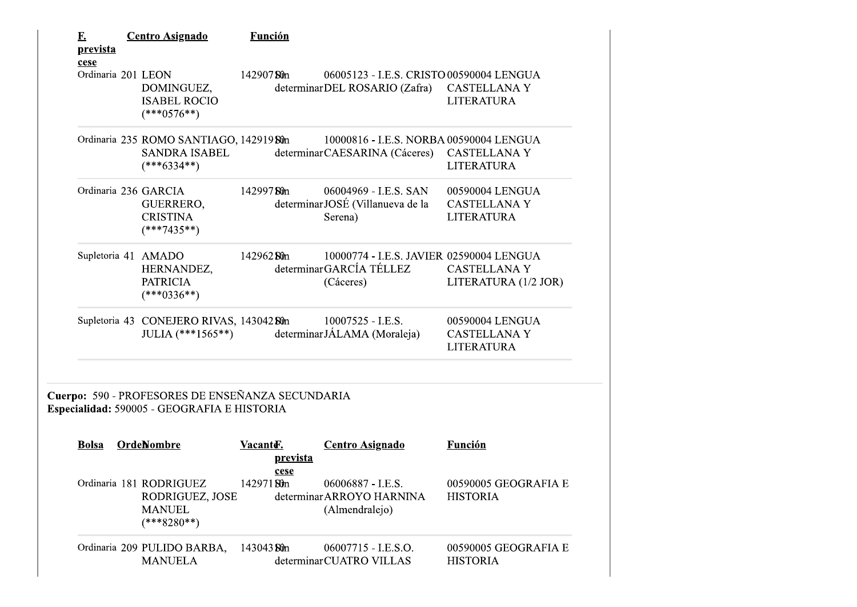| <u>F.</u><br><u>prevista</u> | <b>Centro Asignado</b>                                                                          | Función     |          |                                                                                  |                                                             |
|------------------------------|-------------------------------------------------------------------------------------------------|-------------|----------|----------------------------------------------------------------------------------|-------------------------------------------------------------|
| cese<br>Ordinaria 201 LEON   | DOMINGUEZ,<br><b>ISABEL ROCIO</b><br>$(***0576**)$                                              | 14290750m   |          | 06005123 - I.E.S. CRISTO 00590004 LENGUA<br>determinarDEL ROSARIO (Zafra)        | <b>CASTELLANA Y</b><br><b>LITERATURA</b>                    |
|                              | Ordinaria 235 ROMO SANTIAGO, 142919 Sûn<br><b>SANDRA ISABEL</b><br>$(***6334**)$                |             |          | 10000816 - I.E.S. NORBA 00590004 LENGUA<br>determinarCAESARINA (Cáceres)         | <b>CASTELLANA Y</b><br><b>LITERATURA</b>                    |
|                              | Ordinaria 236 GARCIA<br>GUERRERO,<br><b>CRISTINA</b><br>$(***7435**)$                           | 142997 Sun  |          | 06004969 - I.E.S. SAN<br>determinarJOSÉ (Villanueva de la<br>Serena)             | 00590004 LENGUA<br><b>CASTELLANA Y</b><br><b>LITERATURA</b> |
|                              | Supletoria 41 AMADO<br>HERNANDEZ,<br><b>PATRICIA</b><br>$(***0336**)$                           | 142962 Sun  |          | 10000774 - I.E.S. JAVIER 02590004 LENGUA<br>determinarGARCÍA TÉLLEZ<br>(Cáceres) | <b>CASTELLANA Y</b><br>LITERATURA (1/2 JOR)                 |
|                              | Supletoria 43 CONEJERO RIVAS, 143042 Sûn<br>JULIA $(***1565**)$                                 |             |          | 10007525 - I.E.S.<br>determinarJÁLAMA (Moraleja)                                 | 00590004 LENGUA<br><b>CASTELLANA Y</b><br><b>LITERATURA</b> |
|                              | Cuerpo: 590 - PROFESORES DE ENSEÑANZA SECUNDARIA<br>Especialidad: 590005 - GEOGRAFIA E HISTORIA |             |          |                                                                                  |                                                             |
| <b>Bolsa</b>                 | OrdeNombre                                                                                      | Vacante.    | prevista | <b>Centro Asignado</b>                                                           | <b>Función</b>                                              |
|                              | Ordinaria 181 RODRIGUEZ<br>RODRIGUEZ, JOSE<br><b>MANUEL</b><br>$(***8280**)$                    | 142971 Sûn  | cese     | 06006887 - I.E.S.<br>determinar ARROYO HARNINA<br>(Almendralejo)                 | 00590005 GEOGRAFIA E<br><b>HISTORIA</b>                     |
|                              | Ordinaria 209 PULIDO BARBA,<br><b>MANUELA</b>                                                   | 143043 St0n |          | 06007715 - I.E.S.O.<br>determinarCUATRO VILLAS                                   | 00590005 GEOGRAFIA E<br><b>HISTORIA</b>                     |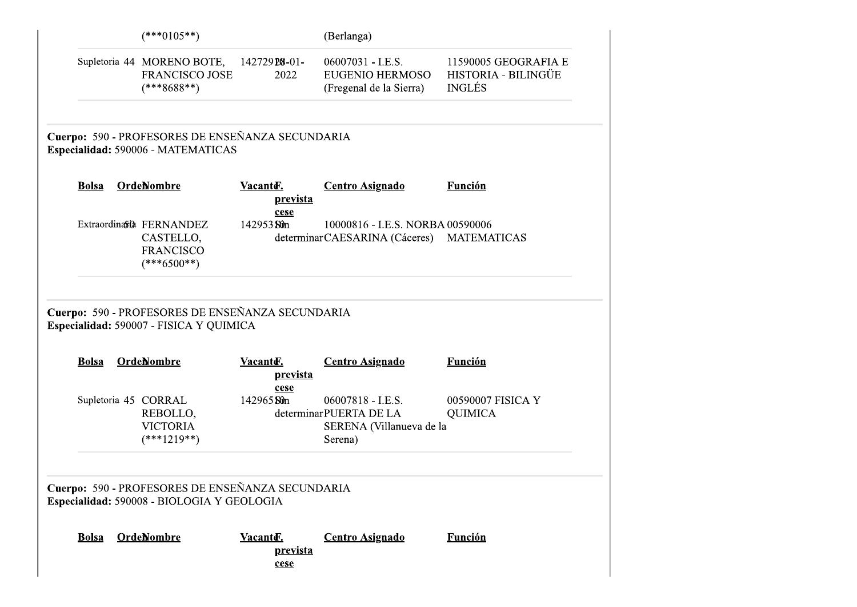|              | $(***0105**)$                                                                                                    |                                     | (Berlanga)                                                                         |                                                              |
|--------------|------------------------------------------------------------------------------------------------------------------|-------------------------------------|------------------------------------------------------------------------------------|--------------------------------------------------------------|
|              | Supletoria 44 MORENO BOTE,<br><b>FRANCISCO JOSE</b><br>$(***8688**)$                                             | 14272928-01-<br>2022                | 06007031 - I.E.S.<br><b>EUGENIO HERMOSO</b><br>(Fregenal de la Sierra)             | 11590005 GEOGRAFIA E<br>HISTORIA - BILINGÜE<br><b>INGLÉS</b> |
|              | Cuerpo: 590 - PROFESORES DE ENSEÑANZA SECUNDARIA<br>Especialidad: 590006 - MATEMATICAS                           |                                     |                                                                                    |                                                              |
| <b>Bolsa</b> | OrdeNombre                                                                                                       | Vacante.<br><u>prevista</u><br>cese | <b>Centro Asignado</b>                                                             | <b>Función</b>                                               |
|              | Extraordinato FERNANDEZ<br>CASTELLO,<br><b>FRANCISCO</b><br>$(***6500**)$                                        | 142953 St0n                         | 10000816 - I.E.S. NORBA 00590006<br>determinarCAESARINA (Cáceres) MATEMATICAS      |                                                              |
|              |                                                                                                                  |                                     |                                                                                    |                                                              |
| <b>Bolsa</b> | Cuerpo: 590 - PROFESORES DE ENSEÑANZA SECUNDARIA<br>Especialidad: 590007 - FISICA Y QUIMICA<br><b>OrdeNombre</b> | Vacanter.                           | <b>Centro Asignado</b>                                                             | <b>Función</b>                                               |
|              | Supletoria 45 CORRAL<br>REBOLLO,<br><b>VICTORIA</b><br>$(***1219**)$                                             | prevista<br>cese<br>142965 Sun      | 06007818 - I.E.S.<br>determinarPUERTA DE LA<br>SERENA (Villanueva de la<br>Serena) | 00590007 FISICA Y<br><b>QUIMICA</b>                          |
|              | Cuerpo: 590 - PROFESORES DE ENSEÑANZA SECUNDARIA<br>Especialidad: 590008 - BIOLOGIA Y GEOLOGIA                   |                                     |                                                                                    |                                                              |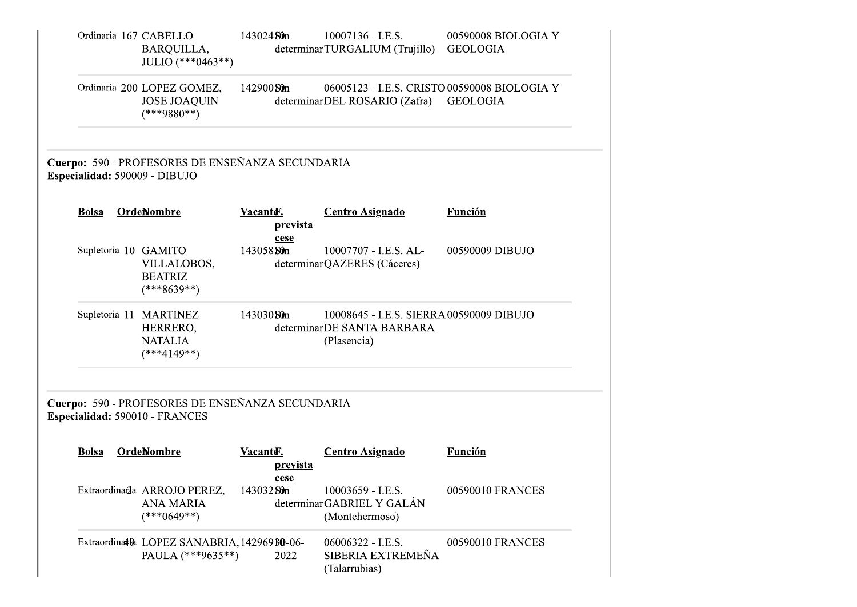| Ordinaria 167 CABELLO          | BARQUILLA,<br>JULIO (***0463**)                                       | 143024 Sun                           | $10007136 - I.E.S.$<br>determinarTURGALIUM (Trujillo)                                  | 00590008 BIOLOGIA Y<br><b>GEOLOGIA</b> |
|--------------------------------|-----------------------------------------------------------------------|--------------------------------------|----------------------------------------------------------------------------------------|----------------------------------------|
|                                | Ordinaria 200 LOPEZ GOMEZ,<br><b>JOSE JOAQUIN</b><br>$(***9880**)$    | 142900 Sun                           | 06005123 - I.E.S. CRISTO 00590008 BIOLOGIA Y<br>determinarDEL ROSARIO (Zafra) GEOLOGIA |                                        |
| Especialidad: 590009 - DIBUJO  | Cuerpo: 590 - PROFESORES DE ENSEÑANZA SECUNDARIA                      |                                      |                                                                                        |                                        |
| <b>Bolsa</b>                   | <b>OrdeNombre</b>                                                     | Vacanter.<br>prevista<br>cese        | <b>Centro Asignado</b>                                                                 | <b>Función</b>                         |
| Supletoria 10 GAMITO           | VILLALOBOS,<br><b>BEATRIZ</b><br>$(***8639**)$                        | 143058 Sun                           | 10007707 - I.E.S. AL-<br>determinarQAZERES (Cáceres)                                   | 00590009 DIBUJO                        |
|                                | Supletoria 11 MARTINEZ<br>HERRERO,<br><b>NATALIA</b><br>$(***4149**)$ | 143030 Sun                           | 10008645 - I.E.S. SIERRA 00590009 DIBUJO<br>determinarDE SANTA BARBARA<br>(Plasencia)  |                                        |
| Especialidad: 590010 - FRANCES | Cuerpo: 590 - PROFESORES DE ENSEÑANZA SECUNDARIA                      |                                      |                                                                                        |                                        |
| <b>Bolsa</b>                   | <b>OrdeNombre</b>                                                     | Vacanter.<br><u>prevista</u><br>cese | <b>Centro Asignado</b>                                                                 | <b>Función</b>                         |
|                                | Extraordinada ARROJO PEREZ,<br><b>ANA MARIA</b><br>$(***0649**)$      | 143032 Sun                           | 10003659 - I.E.S.<br>determinarGABRIEL Y GALÁN<br>(Montehermoso)                       | 00590010 FRANCES                       |
|                                | Extraordinath LOPEZ SANABRIA, 142969 BO-06-<br>PAULA (***9635**)      | 2022                                 | 06006322 - I.E.S.<br>SIBERIA EXTREMEÑA<br>(Talarrubias)                                | 00590010 FRANCES                       |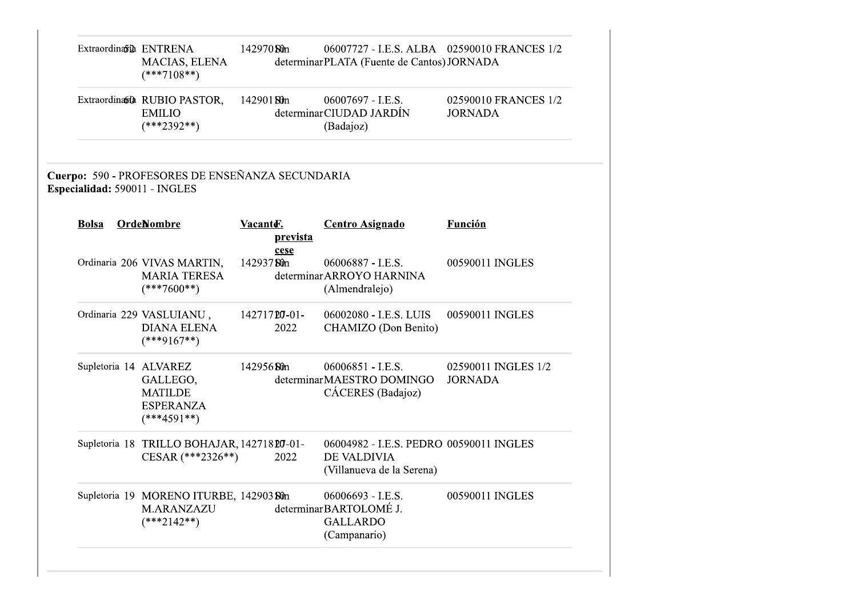|              | Extraordinavia ENTRENA<br>MACIAS, ELENA<br>$(***7108**)$                                 | 142970 Sun |                      | 06007727 - I.E.S. ALBA 02590010 FRANCES 1/2<br>determinarPLATA (Fuente de Cantos) JORNADA |                                        |
|--------------|------------------------------------------------------------------------------------------|------------|----------------------|-------------------------------------------------------------------------------------------|----------------------------------------|
|              | Extraordinato RUBIO PASTOR,<br><b>EMILIO</b><br>$(***2392**)$                            | 14290180m  |                      | 06007697 - I.E.S.<br>determinarCIUDAD JARDÍN<br>(Badajoz)                                 | 02590010 FRANCES 1/2<br><b>JORNADA</b> |
|              | Cuerpo: 590 - PROFESORES DE ENSEÑANZA SECUNDARIA<br>Especialidad: 590011 - INGLES        |            |                      |                                                                                           |                                        |
| <b>Bolsa</b> | <b>OrdeNombre</b>                                                                        | Vacante.   | prevista<br>cese     | <b>Centro Asignado</b>                                                                    | <b>Función</b>                         |
|              | Ordinaria 206 VIVAS MARTIN,<br><b>MARIA TERESA</b><br>$(***7600**)$                      | 14293750m  |                      | 06006887 - I.E.S.<br>determinar ARROYO HARNINA<br>(Almendralejo)                          | 00590011 INGLES                        |
|              | Ordinaria 229 VASLUIANU,<br><b>DIANA ELENA</b><br>$(***9167**)$                          |            | 14271720-01-<br>2022 | 06002080 - I.E.S. LUIS<br>CHAMIZO (Don Benito)                                            | 00590011 INGLES                        |
|              | Supletoria 14 ALVAREZ<br>GALLEGO,<br><b>MATILDE</b><br><b>ESPERANZA</b><br>$(***4591**)$ | 142956 Sun |                      | 06006851 - I.E.S.<br>determinarMAESTRO DOMINGO<br>CÁCERES (Badajoz)                       | 02590011 INGLES 1/2<br><b>JORNADA</b>  |
|              | Supletoria 18 TRILLO BOHAJAR, 14271820-01-<br>CESAR (***2326**)                          |            | 2022                 | 06004982 - I.E.S. PEDRO 00590011 INGLES<br>DE VALDIVIA<br>(Villanueva de la Serena)       |                                        |
|              | Supletoria 19 MORENO ITURBE, 142903 Sûn<br>M.ARANZAZU<br>$(***2142**)$                   |            |                      | 06006693 - I.E.S.<br>determinarBARTOLOMÉ J.<br><b>GALLARDO</b><br>(Campanario)            | 00590011 INGLES                        |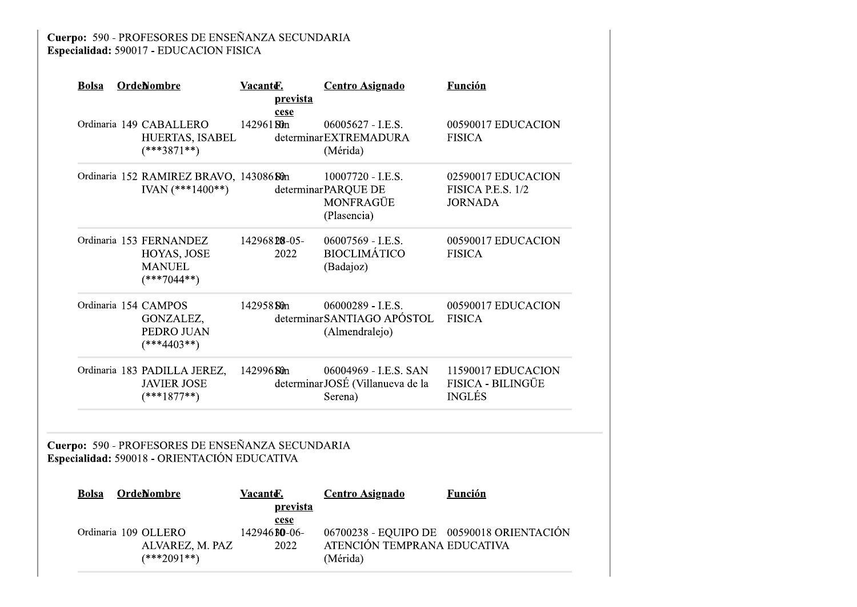| <b>Bolsa</b> | <b>OrdeNombre</b>                                                                                | Vacanter.<br>prevista<br>cese | <b>Centro Asignado</b>                                               | <b>Función</b>                                            |
|--------------|--------------------------------------------------------------------------------------------------|-------------------------------|----------------------------------------------------------------------|-----------------------------------------------------------|
|              | Ordinaria 149 CABALLERO<br>HUERTAS, ISABEL<br>$(***3871**)$                                      | 14296180m                     | 06005627 - I.E.S.<br>determinarEXTREMADURA<br>(Mérida)               | 00590017 EDUCACION<br><b>FISICA</b>                       |
|              | Ordinaria 152 RAMIREZ BRAVO, 143086 Sûn<br>IVAN $(***1400**)$                                    |                               | 10007720 - I.E.S.<br>determinarPARQUE DE<br>MONFRAGÜE<br>(Plasencia) | 02590017 EDUCACION<br>FISICA P.E.S. 1/2<br><b>JORNADA</b> |
|              | Ordinaria 153 FERNANDEZ<br>HOYAS, JOSE<br><b>MANUEL</b><br>$(***7044**)$                         | 14296828-05-<br>2022          | 06007569 - I.E.S.<br><b>BIOCLIMÁTICO</b><br>(Badajoz)                | 00590017 EDUCACION<br><b>FISICA</b>                       |
|              | Ordinaria 154 CAMPOS<br>GONZALEZ,<br>PEDRO JUAN<br>$(***4403**)$                                 | 142958 Sun                    | 06000289 - I.E.S.<br>determinar SANTIAGO APÓSTOL<br>(Almendralejo)   | 00590017 EDUCACION<br><b>FISICA</b>                       |
|              | Ordinaria 183 PADILLA JEREZ,<br><b>JAVIER JOSE</b><br>$(***1877**)$                              | 142996 Sun                    | 06004969 - I.E.S. SAN<br>determinarJOSÉ (Villanueva de la<br>Serena) | 11590017 EDUCACION<br>FISICA - BILINGÜE<br><b>INGLÉS</b>  |
|              | Cuerpo: 590 - PROFESORES DE ENSEÑANZA SECUNDARIA<br>Especialidad: 590018 - ORIENTACIÓN EDUCATIVA |                               |                                                                      |                                                           |
| <b>Bolsa</b> | <b>OrdeNombre</b>                                                                                | Vacanter.<br>prevista         | <b>Centro Asignado</b>                                               | <b>Función</b>                                            |
|              | Ordinaria 109 OLLERO<br>ALVAREZ, M. PAZ<br>$(***2091**)$                                         | cese<br>142946 BO-06-<br>2022 | ATENCIÓN TEMPRANA EDUCATIVA<br>(Mérida)                              | 06700238 - EQUIPO DE 00590018 ORIENTACIÓN                 |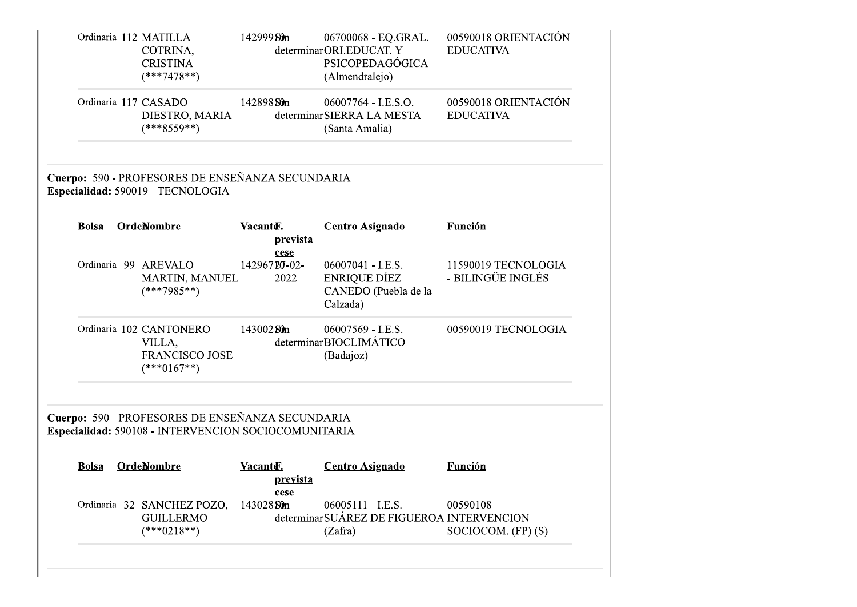|              | Ordinaria 112 MATILLA<br>COTRINA,<br><b>CRISTINA</b><br>$(***7478**)$                                    | 142999 Sûn                   | 06700068 - EQ.GRAL.<br>determinarORI.EDUCAT. Y<br>PSICOPEDAGÓGICA<br>(Almendralejo) | 00590018 ORIENTACIÓN<br><b>EDUCATIVA</b> |
|--------------|----------------------------------------------------------------------------------------------------------|------------------------------|-------------------------------------------------------------------------------------|------------------------------------------|
|              | Ordinaria 117 CASADO<br>DIESTRO, MARIA<br>$(***8559**)$                                                  | 142898 Sun                   | 06007764 - I.E.S.O.<br>determinarSIERRA LA MESTA<br>(Santa Amalia)                  | 00590018 ORIENTACIÓN<br><b>EDUCATIVA</b> |
|              | Cuerpo: 590 - PROFESORES DE ENSEÑANZA SECUNDARIA<br>Especialidad: 590019 - TECNOLOGIA                    |                              |                                                                                     |                                          |
| <b>Bolsa</b> | <b>OrdeNombre</b>                                                                                        | Vacante.<br>prevista<br>cese | <b>Centro Asignado</b>                                                              | <b>Función</b>                           |
|              | Ordinaria 99 AREVALO<br>MARTIN, MANUEL<br>$(***7985**)$                                                  | 14296720-02-<br>2022         | 06007041 - I.E.S.<br>ENRIQUE DÍEZ<br>CANEDO (Puebla de la<br>Calzada)               | 11590019 TECNOLOGIA<br>- BILINGÜE INGLÉS |
|              | Ordinaria 102 CANTONERO<br>VILLA,<br><b>FRANCISCO JOSE</b><br>$(***0167**)$                              | 143002 Sun                   | 06007569 - I.E.S.<br>determinarBIOCLIMÁTICO<br>(Badajoz)                            | 00590019 TECNOLOGIA                      |
|              | Cuerpo: 590 - PROFESORES DE ENSEÑANZA SECUNDARIA<br>Especialidad: 590108 - INTERVENCION SOCIOCOMUNITARIA |                              |                                                                                     |                                          |
| <b>Bolsa</b> | <b>OrdeNombre</b>                                                                                        | Vacante.<br>prevista<br>cese | <b>Centro Asignado</b>                                                              | <b>Función</b>                           |
|              | Ordinaria 32 SANCHEZ POZO,                                                                               | 143028 St0n                  | 06005111 - I.E.S.                                                                   | 00590108                                 |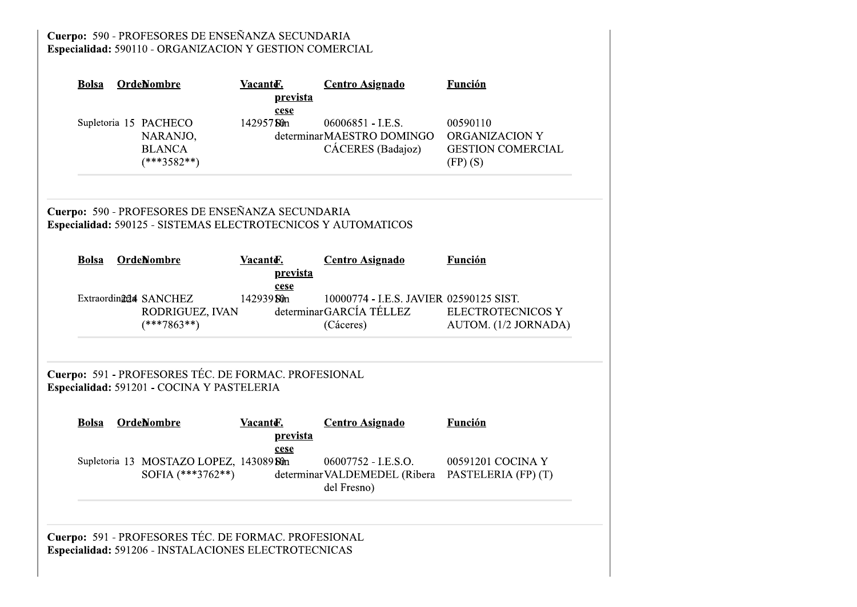# Cuerpo: 590 - PROFESORES DE ENSEÑANZA SECUNDARIA<br>Especialidad: 590110 - ORGANIZACION Y GESTION COMERCIAL

| <b>Bolsa</b>                      | OrdeNombre                                                                                                        | Vacantd.  | prevista<br>cese | <b>Centro Asignado</b>                                                          | Función                                                                  |
|-----------------------------------|-------------------------------------------------------------------------------------------------------------------|-----------|------------------|---------------------------------------------------------------------------------|--------------------------------------------------------------------------|
| Supletoria 15 PACHECO             | NARANJO,<br><b>BLANCA</b><br>$(***3582**)$                                                                        | 14295750m |                  | 06006851 - I.E.S.<br>determinarMAESTRO DOMINGO<br>CÁCERES (Badajoz)             | 00590110<br><b>ORGANIZACION Y</b><br><b>GESTION COMERCIAL</b><br>(FP)(S) |
|                                   | Cuerpo: 590 - PROFESORES DE ENSEÑANZA SECUNDARIA<br>Especialidad: 590125 - SISTEMAS ELECTROTECNICOS Y AUTOMATICOS |           |                  |                                                                                 |                                                                          |
| <b>Bolsa</b>                      | <b>OrdeNombre</b>                                                                                                 | Vacanter. | prevista<br>cese | <b>Centro Asignado</b>                                                          | <b>Función</b>                                                           |
| Extraordin <sub>204</sub> SANCHEZ | RODRIGUEZ, IVAN<br>$(***7863**)$                                                                                  | 14293950m |                  | 10000774 - I.E.S. JAVIER 02590125 SIST.<br>determinarGARCÍA TÉLLEZ<br>(Cáceres) | <b>ELECTROTECNICOS Y</b><br>AUTOM. (1/2 JORNADA)                         |
|                                   | Cuerpo: 591 - PROFESORES TÉC. DE FORMAC. PROFESIONAL<br>Especialidad: 591201 - COCINA Y PASTELERIA                |           |                  |                                                                                 |                                                                          |
| <b>Bolsa</b>                      | <b>OrdeNombre</b>                                                                                                 | Vacante.  | prevista<br>cese | <b>Centro Asignado</b>                                                          | <b>Función</b>                                                           |
|                                   | Supletoria 13 MOSTAZO LOPEZ, 14308980n<br>SOFIA $(***3762**)$                                                     |           |                  | 06007752 - I.E.S.O.<br>determinar VALDEMEDEL (Ribera<br>del Fresno)             | 00591201 COCINA Y<br>PASTELERIA (FP) (T)                                 |
|                                   | Cuerpo: 591 - PROFESORES TÉC. DE FORMAC. PROFESIONAL<br>Especialidad: 591206 - INSTALACIONES ELECTROTECNICAS      |           |                  |                                                                                 |                                                                          |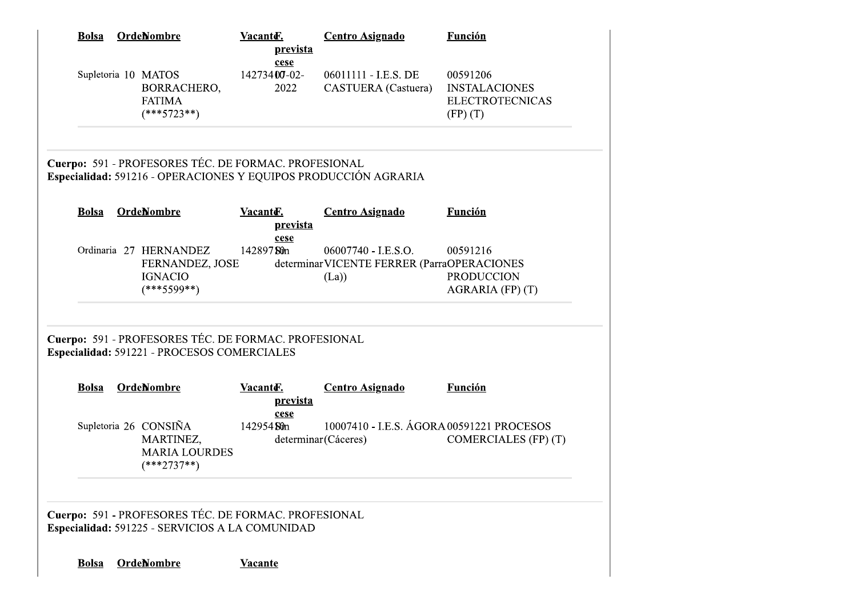|              | <b>Bolsa</b> | <b>OrdeNombre</b>                                                                                       | Vacanter.<br>prevista<br>cese | <b>Centro Asignado</b>                                                     | <b>Función</b>                                                             |
|--------------|--------------|---------------------------------------------------------------------------------------------------------|-------------------------------|----------------------------------------------------------------------------|----------------------------------------------------------------------------|
|              |              | Supletoria 10 MATOS<br>BORRACHERO,<br><b>FATIMA</b><br>$(***5723**)$                                    | 14273400-02-<br>2022          | 06011111 - I.E.S. DE<br><b>CASTUERA</b> (Castuera)                         | 00591206<br><b>INSTALACIONES</b><br><b>ELECTROTECNICAS</b><br>$(FP)$ $(T)$ |
|              |              | Cuerpo: 591 - PROFESORES TÉC. DE FORMAC. PROFESIONAL                                                    |                               | Especialidad: 591216 - OPERACIONES Y EQUIPOS PRODUCCIÓN AGRARIA            |                                                                            |
| <b>Bolsa</b> |              | <b>OrdeNombre</b>                                                                                       | Vacante.<br>prevista          | <b>Centro Asignado</b>                                                     | <b>Función</b>                                                             |
|              |              | Ordinaria 27 HERNANDEZ<br>FERNANDEZ, JOSE<br><b>IGNACIO</b><br>$(***5599**)$                            | cese<br>14289750m             | 06007740 - I.E.S.O.<br>determinar VICENTE FERRER (ParraOPERACIONES<br>(La) | 00591216<br><b>PRODUCCION</b><br>AGRARIA (FP) (T)                          |
|              |              | Cuerpo: 591 - PROFESORES TÉC. DE FORMAC. PROFESIONAL<br>Especialidad: 591221 - PROCESOS COMERCIALES     |                               |                                                                            |                                                                            |
|              |              | <b>Bolsa OrdeNombre</b>                                                                                 | <u>prevista</u>               | <b>Vacanto Exercicle Centro Asignado</b>                                   | <b>Función</b>                                                             |
|              |              | Supletoria 26 CONSIÑA<br>MARTINEZ,<br><b>MARIA LOURDES</b><br>$(***2737**)$                             | cese<br>142954 Sun            | 10007410 - I.E.S. ÁGORA 00591221 PROCESOS<br>determinar (Cáceres)          | COMERCIALES (FP) (T)                                                       |
|              |              | Cuerpo: 591 - PROFESORES TÉC. DE FORMAC. PROFESIONAL<br>Especialidad: 591225 - SERVICIOS A LA COMUNIDAD |                               |                                                                            |                                                                            |
|              |              | <b>OrdeNombre</b>                                                                                       | <b>Vacante</b>                |                                                                            |                                                                            |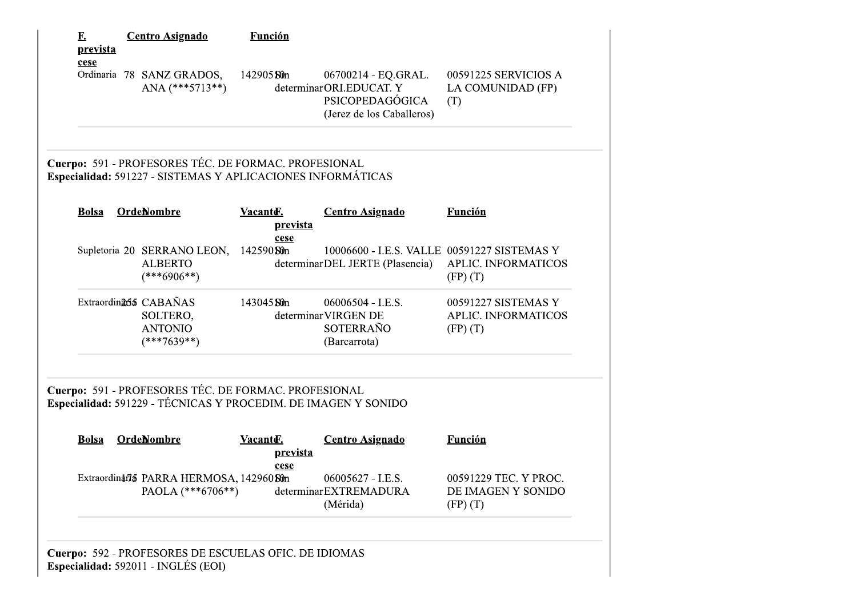| <u>F.</u><br>prevista | <b>Centro Asignado</b>                                                                                                 | <b>Función</b>                           |                                                                                                |                                                                   |
|-----------------------|------------------------------------------------------------------------------------------------------------------------|------------------------------------------|------------------------------------------------------------------------------------------------|-------------------------------------------------------------------|
| cese                  | Ordinaria 78 SANZ GRADOS,<br>ANA $(***5713**)$                                                                         | 142905 Sun                               | 06700214 - EQ.GRAL.<br>determinarORI.EDUCAT. Y<br>PSICOPEDAGÓGICA<br>(Jerez de los Caballeros) | 00591225 SERVICIOS A<br>LA COMUNIDAD (FP)<br>(T)                  |
|                       | Cuerpo: 591 - PROFESORES TÉC. DE FORMAC. PROFESIONAL<br>Especialidad: 591227 - SISTEMAS Y APLICACIONES INFORMÁTICAS    |                                          |                                                                                                |                                                                   |
| <b>Bolsa</b>          | <b>OrdeNombre</b>                                                                                                      | Vacante.<br><u>prevista</u><br>cese      | <b>Centro Asignado</b>                                                                         | <b>Función</b>                                                    |
|                       | Supletoria 20 SERRANO LEON,<br><b>ALBERTO</b><br>$(***6906**)$                                                         | 142590 Sun                               | 10006600 - I.E.S. VALLE 00591227 SISTEMAS Y<br>determinarDEL JERTE (Plasencia)                 | <b>APLIC. INFORMATICOS</b><br>$(FP)$ $(T)$                        |
|                       | Extraordin <sub>265</sub> CABAÑAS<br>SOLTERO,<br><b>ANTONIO</b><br>$(***7639**)$                                       | 143045 Sun                               | 06006504 - I.E.S.<br>determinar VIRGEN DE<br>SOTERRAÑO<br>(Barcarrota)                         | 00591227 SISTEMAS Y<br><b>APLIC. INFORMATICOS</b><br>$(FP)$ $(T)$ |
|                       | Cuerpo: 591 - PROFESORES TÉC. DE FORMAC. PROFESIONAL<br>Especialidad: 591229 - TÉCNICAS Y PROCEDIM. DE IMAGEN Y SONIDO |                                          |                                                                                                |                                                                   |
| <b>Bolsa</b>          | <b>OrdeNombre</b>                                                                                                      | Vacante.<br><u>prevista</u><br>cese      | <b>Centro Asignado</b>                                                                         | <b>Función</b>                                                    |
|                       |                                                                                                                        | Extraordinaria PARRA HERMOSA, 142960 Sûn | 06005627 - I.E.S.<br>determinarEXTREMADURA                                                     | 00591229 TEC. Y PROC.<br>DE IMAGEN Y SONIDO                       |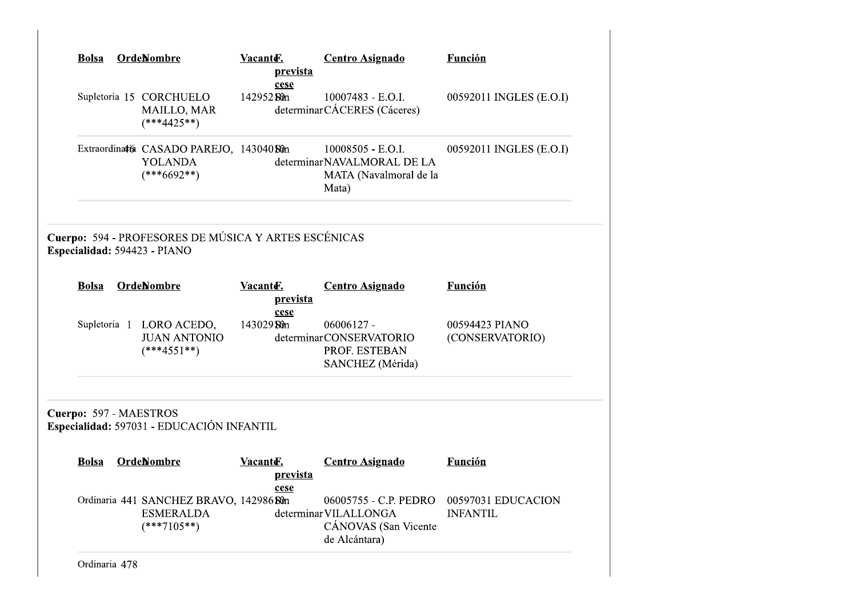| <b>Bolsa</b> |                                      | Vacanter.<br>prevista                                                                                                                                          | <b>Centro Asignado</b>                                                                                | <b>Función</b>                                                                                                                               |
|--------------|--------------------------------------|----------------------------------------------------------------------------------------------------------------------------------------------------------------|-------------------------------------------------------------------------------------------------------|----------------------------------------------------------------------------------------------------------------------------------------------|
|              | <b>MAILLO, MAR</b><br>$(***4425**)$  | 142952 Sun                                                                                                                                                     | 10007483 - E.O.I.                                                                                     | 00592011 INGLES (E.O.I)                                                                                                                      |
|              | <b>YOLANDA</b><br>$(***6692**)$      |                                                                                                                                                                | 10008505 - E.O.I.<br>MATA (Navalmoral de la<br>Mata)                                                  | 00592011 INGLES (E.O.I)                                                                                                                      |
|              |                                      |                                                                                                                                                                |                                                                                                       |                                                                                                                                              |
| <b>Bolsa</b> |                                      | Vacante.<br>prevista                                                                                                                                           | <b>Centro Asignado</b>                                                                                | <b>Función</b>                                                                                                                               |
|              | <b>JUAN ANTONIO</b><br>$(***4551**)$ | 143029 Sun                                                                                                                                                     | $06006127 -$<br>PROF. ESTEBAN<br>SANCHEZ (Mérida)                                                     | 00594423 PIANO<br>(CONSERVATORIO)                                                                                                            |
|              |                                      |                                                                                                                                                                |                                                                                                       |                                                                                                                                              |
| <b>Bolsa</b> |                                      | Vacanto-<br>prevista<br>cese                                                                                                                                   | <b>Centro Asignado</b>                                                                                | <b>Función</b>                                                                                                                               |
|              |                                      |                                                                                                                                                                |                                                                                                       |                                                                                                                                              |
|              |                                      | OrdeNombre<br>Supletoria 15 CORCHUELO<br>Especialidad: 594423 - PIANO<br><b>OrdeNombre</b><br>Supletoria 1 LORO ACEDO,<br>Cuerpo: 597 - MAESTROS<br>OrdeNombre | cese<br>Extraordinatía CASADO PAREJO, 143040 Sún<br>cese<br>Especialidad: 597031 - EDUCACIÓN INFANTIL | determinarCÁCERES (Cáceres)<br>determinarNAVALMORAL DE LA<br>Cuerpo: 594 - PROFESORES DE MÚSICA Y ARTES ESCÉNICAS<br>determinarCONSERVATORIO |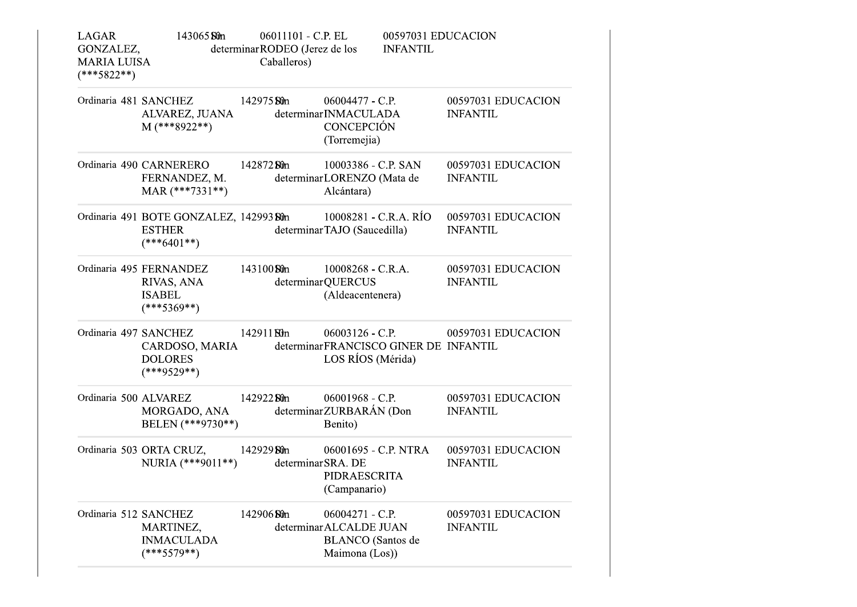| <b>LAGAR</b><br>GONZALEZ,<br><b>MARIA LUISA</b><br>$(***5822**)$ | 143065 Sun                                                                | 06011101 - C.P. EL<br>determinar RODEO (Jerez de los<br>Caballeros) |                                                                                          | 00597031 EDUCACION<br><b>INFANTIL</b> |                                       |
|------------------------------------------------------------------|---------------------------------------------------------------------------|---------------------------------------------------------------------|------------------------------------------------------------------------------------------|---------------------------------------|---------------------------------------|
|                                                                  | Ordinaria 481 SANCHEZ 142975 Sûn<br>ALVAREZ, JUANA<br>$M$ (***8922**)     |                                                                     | $06004477 - C.P.$<br>determinarINMACULADA<br><b>CONCEPCIÓN</b><br>(Torremejia)           |                                       | 00597031 EDUCACION<br><b>INFANTIL</b> |
|                                                                  | Ordinaria 490 CARNERERO<br>FERNANDEZ, M.<br>MAR $(***7331**)$             | 142872. <b>Sû</b> n                                                 | 10003386 - C.P. SAN<br>determinarLORENZO (Mata de<br>Alcántara)                          |                                       | 00597031 EDUCACION<br><b>INFANTIL</b> |
|                                                                  | Ordinaria 491 BOTE GONZALEZ, 142993 Sûn<br><b>ESTHER</b><br>$(***6401**)$ |                                                                     | 10008281 - C.R.A. RÍO<br>determinarTAJO (Saucedilla)                                     |                                       | 00597031 EDUCACION<br><b>INFANTIL</b> |
|                                                                  | Ordinaria 495 FERNANDEZ<br>RIVAS, ANA<br><b>ISABEL</b><br>$(***5369**)$   | 143100 Sun                                                          | 10008268 - C.R.A.<br>determinarQUERCUS<br>(Aldeacentenera)                               |                                       | 00597031 EDUCACION<br><b>INFANTIL</b> |
| Ordinaria 497 SANCHEZ                                            | CARDOSO, MARIA<br><b>DOLORES</b><br>$(***9529**)$                         | 142911 <b>St</b> <sup>n</sup>                                       | determinarFRANCISCO GINER DE INFANTIL<br>LOS RÍOS (Mérida)                               |                                       | 06003126 - C.P. 00597031 EDUCACION    |
| Ordinaria 500 ALVAREZ                                            | MORGADO, ANA<br>BELEN (***9730**)                                         | 14292280n                                                           | 06001968 - C.P.<br>determinarZURBARÁN (Don<br>Benito)                                    |                                       | 00597031 EDUCACION<br><b>INFANTIL</b> |
|                                                                  | Ordinaria 503 ORTA CRUZ, 142929 Sûn<br>NURIA $(***9011**)$                | determinar SRA. DE                                                  | 06001695 - C.P. NTRA<br>PIDRAESCRITA<br>(Campanario)                                     |                                       | 00597031 EDUCACION<br><b>INFANTIL</b> |
| Ordinaria 512 SANCHEZ                                            | MARTINEZ,<br><b>INMACULADA</b><br>$(***5579**)$                           | 142906 Sun                                                          | 06004271 - C.P.<br>determinar ALCALDE JUAN<br><b>BLANCO</b> (Santos de<br>Maimona (Los)) |                                       | 00597031 EDUCACION<br><b>INFANTIL</b> |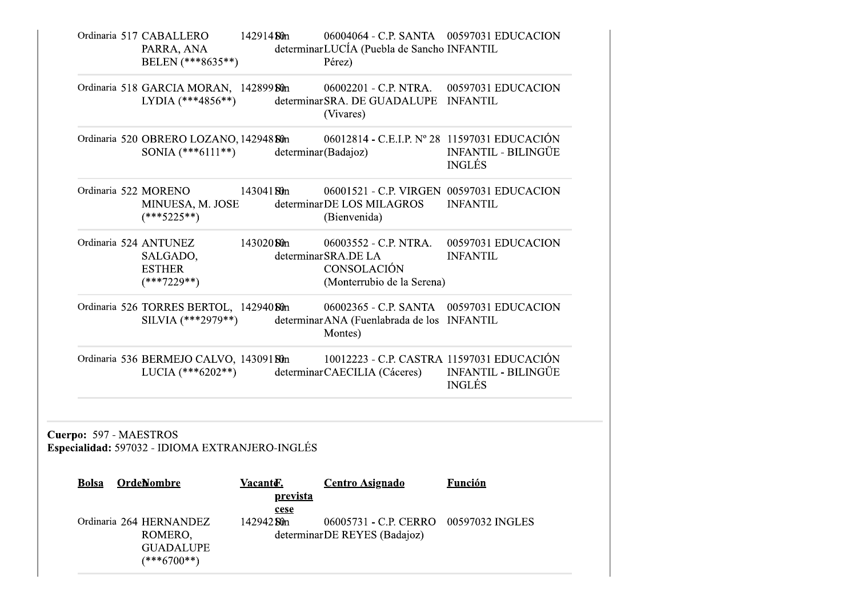|                         | Ordinaria 517 CABALLERO 142914 Sûn<br>PARRA, ANA<br>BELEN (***8635**)   |              |          | 06004064 - C.P. SANTA  00597031 EDUCACION<br>determinarLUCÍA (Puebla de Sancho INFANTIL<br>Pérez)           |                                             |
|-------------------------|-------------------------------------------------------------------------|--------------|----------|-------------------------------------------------------------------------------------------------------------|---------------------------------------------|
|                         | Ordinaria 518 GARCIA MORAN, 142899 Sûn<br>LYDIA $(***4856**)$           |              |          | 06002201 - C.P. NTRA. 00597031 EDUCACION<br>determinarSRA. DE GUADALUPE INFANTIL<br>(Vivares)               |                                             |
|                         | SONIA $(***6111**)$                                                     |              |          | Ordinaria 520 OBRERO LOZANO, 142948 Sûn 06012814 - C.E.I.P. Nº 28 11597031 EDUCACIÓN<br>determinar(Badajoz) | <b>INFANTIL - BILINGÜE</b><br><b>INGLÉS</b> |
|                         | Ordinaria 522 MORENO<br>MINUESA, M. JOSE<br>$(***5225**)$               | $14304180$ m |          | 06001521 - C.P. VIRGEN 00597031 EDUCACION<br>determinarDE LOS MILAGROS<br>(Bienvenida)                      | <b>INFANTIL</b>                             |
|                         | Ordinaria 524 ANTUNEZ<br>SALGADO,<br><b>ESTHER</b><br>$(***7229**)$     | 143020 Ston  |          | 06003552 - C.P. NTRA.<br>determinar SRA.DE LA<br>CONSOLACIÓN<br>(Monterrubio de la Serena)                  | 00597031 EDUCACION<br><b>INFANTIL</b>       |
|                         | Ordinaria 526 TORRES BERTOL, 142940 Sun<br>SILVIA $(***2979**)$         |              |          | 06002365 - C.P. SANTA 00597031 EDUCACION<br>determinarANA (Fuenlabrada de los INFANTIL<br>Montes)           |                                             |
|                         | Ordinaria 536 BERMEJO CALVO, 14309180m<br>LUCIA $(***6202**)$           |              |          | 10012223 - C.P. CASTRA 11597031 EDUCACIÓN<br>determinarCAECILIA (Cáceres)                                   | <b>INFANTIL - BILINGÜE</b><br><b>INGLÉS</b> |
| Cuerpo: 597 - MAESTROS  | Especialidad: 597032 - IDIOMA EXTRANJERO-INGLÉS                         |              |          |                                                                                                             |                                             |
| <b>Bolsa OrdeNombre</b> |                                                                         |              | prevista | VacanteE. Centro Asignado                                                                                   | Función                                     |
|                         | Ordinaria 264 HERNANDEZ<br>ROMERO,<br><b>GUADALUPE</b><br>$(***6700**)$ | 142942 Sun   | cese     | 06005731 - C.P. CERRO<br>determinarDE REYES (Badajoz)                                                       | 00597032 INGLES                             |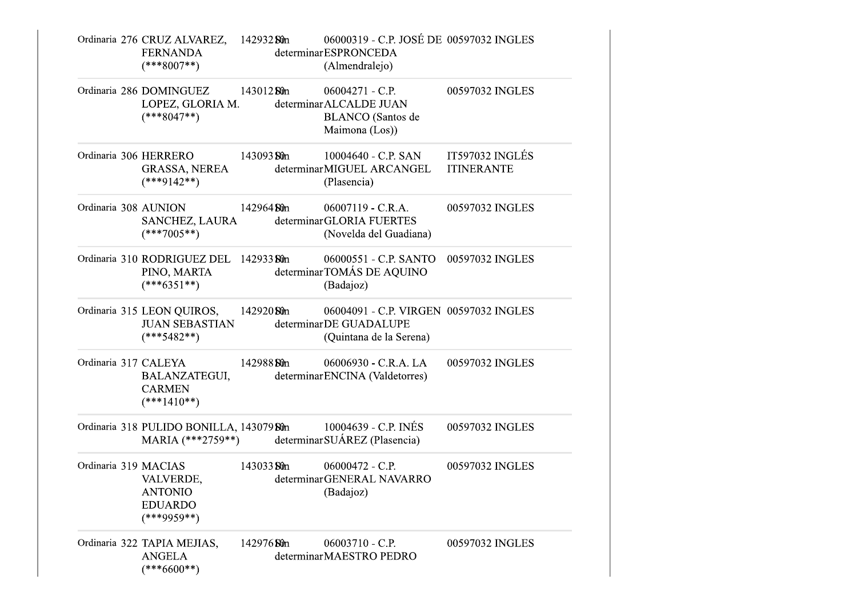|                       | Ordinaria 276 CRUZ ALVAREZ, 142932 Sûn<br><b>FERNANDA</b><br>$(***8007**)$      |             | 06000319 - C.P. JOSÉ DE 00597032 INGLES<br>determinarESPRONCEDA<br>(Almendralejo)           |                                      |
|-----------------------|---------------------------------------------------------------------------------|-------------|---------------------------------------------------------------------------------------------|--------------------------------------|
|                       | Ordinaria 286 DOMINGUEZ 143012 Sûn<br>LOPEZ, GLORIA M.<br>$(***8047**)$         |             | 06004271 - C.P.<br>determinar ALCALDE JUAN<br><b>BLANCO</b> (Santos de<br>Maimona (Los))    | 00597032 INGLES                      |
| Ordinaria 306 HERRERO | GRASSA, NEREA<br>$(***9142**)$                                                  |             | 143093 St0n 10004640 - C.P. SAN<br>determinarMIGUEL ARCANGEL<br>(Plasencia)                 | IT597032 INGLÉS<br><b>ITINERANTE</b> |
| Ordinaria 308 AUNION  | SANCHEZ, LAURA<br>$(***7005**)$                                                 | 142964 Sûn  | $06007119 - C.R.A.$<br>determinarGLORIA FUERTES<br>(Novelda del Guadiana)                   | 00597032 INGLES                      |
|                       | Ordinaria 310 RODRIGUEZ DEL 142933 Sûn<br>PINO, MARTA<br>$(***6351**)$          |             | 06000551 - C.P. SANTO 00597032 INGLES<br>determinarTOMÁS DE AQUINO<br>(Badajoz)             |                                      |
|                       | Ordinaria 315 LEON QUIROS, 142920 Sun<br><b>JUAN SEBASTIAN</b><br>$(***5482**)$ |             | 06004091 - C.P. VIRGEN 00597032 INGLES<br>determinarDE GUADALUPE<br>(Quintana de la Serena) |                                      |
| Ordinaria 317 CALEYA  | BALANZATEGUI,<br><b>CARMEN</b><br>$(***1410**)$                                 | 142988 St0n | 06006930 - C.R.A. LA<br>determinar ENCINA (Valdetorres)                                     | 00597032 INGLES                      |
|                       | Ordinaria 318 PULIDO BONILLA, 143079 Sûn                                        |             | 10004639 - C.P. INÉS<br>MARIA (***2759**) determinar SUÁREZ (Plasencia)                     | 00597032 INGLES                      |
| Ordinaria 319 MACIAS  | VALVERDE,<br><b>ANTONIO</b><br><b>EDUARDO</b><br>$(***9959**)$                  | 14303350m   | $06000472 - C.P.$<br>determinarGENERAL NAVARRO<br>(Badajoz)                                 | 00597032 INGLES                      |
|                       | Ordinaria 322 TAPIA MEJIAS,<br><b>ANGELA</b><br>$(***6600**)$                   | 142976 Sun  | 06003710 - C.P.<br>determinarMAESTRO PEDRO                                                  | 00597032 INGLES                      |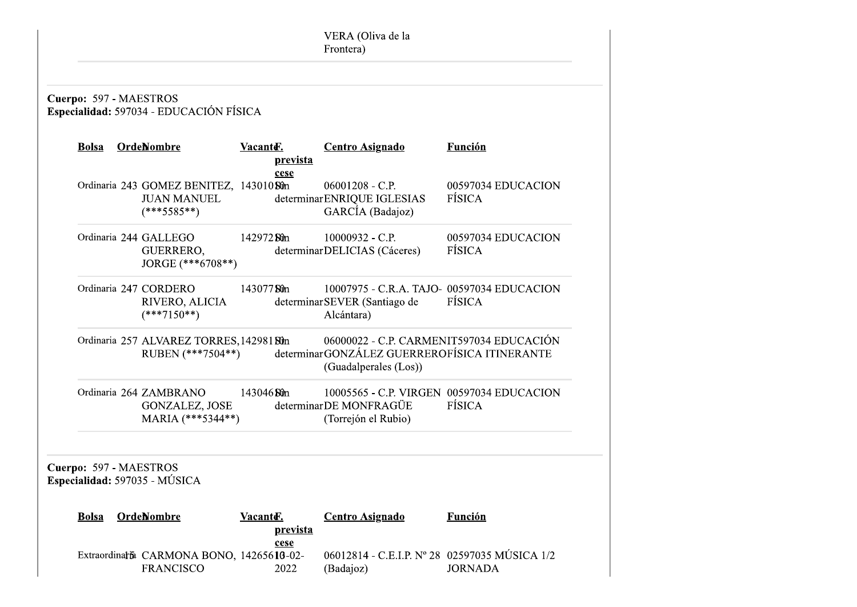|  | <b>OrdeNombre</b>                                                              | Vacanter.   | <u>prevista</u> | <b>Centro Asignado</b>                                                                                            | <b>Función</b>               |
|--|--------------------------------------------------------------------------------|-------------|-----------------|-------------------------------------------------------------------------------------------------------------------|------------------------------|
|  | Ordinaria 243 GOMEZ BENITEZ, 143010 Sûn<br><b>JUAN MANUEL</b><br>$(***5585**)$ |             | cese            | $06001208 - C.P.$<br>determinar ENRIQUE IGLESIAS<br>GARCÍA (Badajoz)                                              | 00597034 EDUCACION<br>FÍSICA |
|  | Ordinaria 244 GALLEGO<br>GUERRERO,<br>JORGE (***6708**)                        | 142972 Sun  |                 | 10000932 - C.P.<br>determinarDELICIAS (Cáceres)                                                                   | 00597034 EDUCACION<br>FÍSICA |
|  | Ordinaria 247 CORDERO<br>RIVERO, ALICIA<br>$(***7150**)$                       | 14307750m   |                 | 10007975 - C.R.A. TAJO- 00597034 EDUCACION<br>determinar SEVER (Santiago de<br>Alcántara)                         | FÍSICA                       |
|  | Ordinaria 257 ALVAREZ TORRES, 142981 Sun<br>RUBEN (***7504**)                  |             |                 | 06000022 - C.P. CARMENIT597034 EDUCACIÓN<br>determinarGONZÁLEZ GUERREROFÍSICA ITINERANTE<br>(Guadalperales (Los)) |                              |
|  | Ordinaria 264 ZAMBRANO<br><b>GONZALEZ, JOSE</b><br>MARIA (***5344**)           | 143046 Ston |                 | 10005565 - C.P. VIRGEN 00597034 EDUCACION<br>determinarDE MONFRAGÜE<br>(Torrejón el Rubio)                        | FÍSICA                       |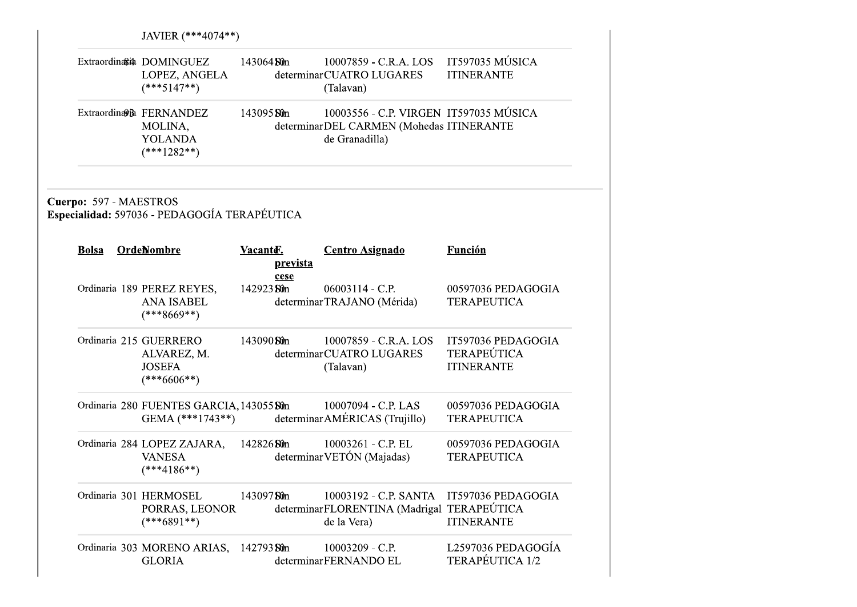|                                        | JAVIER (***4074**)                                                      |             |          |                                                                                                      |                                                               |  |  |  |  |
|----------------------------------------|-------------------------------------------------------------------------|-------------|----------|------------------------------------------------------------------------------------------------------|---------------------------------------------------------------|--|--|--|--|
|                                        | Extraordina∈ DOMINGUEZ<br>LOPEZ, ANGELA<br>$(***5147**)$                | 143064 Ston |          | 10007859 - C.R.A. LOS IT597035 MÚSICA<br>determinarCUATRO LUGARES<br>(Talavan)                       | <b>ITINERANTE</b>                                             |  |  |  |  |
|                                        | Extraordination FERNANDEZ<br>MOLINA,<br><b>YOLANDA</b><br>$(***1282**)$ | 143095 St0n |          | 10003556 - C.P. VIRGEN IT597035 MÚSICA<br>determinarDEL CARMEN (Mohedas ITINERANTE<br>de Granadilla) |                                                               |  |  |  |  |
| Cuerpo: 597 - MAESTROS<br><b>Bolsa</b> | Especialidad: 597036 - PEDAGOGÍA TERAPÉUTICA<br><b>OrdeNombre</b>       | Vacante.    | prevista | <b>Centro Asignado</b>                                                                               | <b>Función</b>                                                |  |  |  |  |
|                                        | Ordinaria 189 PEREZ REYES,<br><b>ANA ISABEL</b><br>$(***8669**)$        | 142923 St0n | cese     | $06003114 - C.P.$<br>determinar TRAJANO (Mérida)                                                     | 00597036 PEDAGOGIA<br><b>TERAPEUTICA</b>                      |  |  |  |  |
|                                        | Ordinaria 215 GUERRERO<br>ALVAREZ, M.<br><b>JOSEFA</b><br>$(***6606**)$ | 143090 Sun  |          | 10007859 - C.R.A. LOS<br>determinarCUATRO LUGARES<br>(Talavan)                                       | IT597036 PEDAGOGIA<br><b>TERAPEÚTICA</b><br><b>ITINERANTE</b> |  |  |  |  |
|                                        | Ordinaria 280 FUENTES GARCIA, 143055 Sûn<br>GEMA $(***1743**)$          |             |          | 10007094 - C.P. LAS<br>determinar AMÉRICAS (Trujillo)                                                | 00597036 PEDAGOGIA<br><b>TERAPEUTICA</b>                      |  |  |  |  |
|                                        | Ordinaria 284 LOPEZ ZAJARA,<br><b>VANESA</b><br>$(***4186**)$           | 142826 St0n |          | 10003261 - C.P. EL<br>determinar VETÓN (Majadas)                                                     | 00597036 PEDAGOGIA<br><b>TERAPEUTICA</b>                      |  |  |  |  |
|                                        | Ordinaria 301 HERMOSEL<br>PORRAS, LEONOR<br>$(***6891**)$               | 14309750m   |          | 10003192 - C.P. SANTA<br>determinarFLORENTINA (Madrigal TERAPEÚTICA<br>de la Vera)                   | IT597036 PEDAGOGIA<br><b>ITINERANTE</b>                       |  |  |  |  |
|                                        | Ordinaria 303 MORENO ARIAS,<br><b>GLORIA</b>                            | 142793 St0n |          | 10003209 - C.P.<br>determinarFERNANDO EL                                                             | L2597036 PEDAGOGÍA<br>TERAPÉUTICA 1/2                         |  |  |  |  |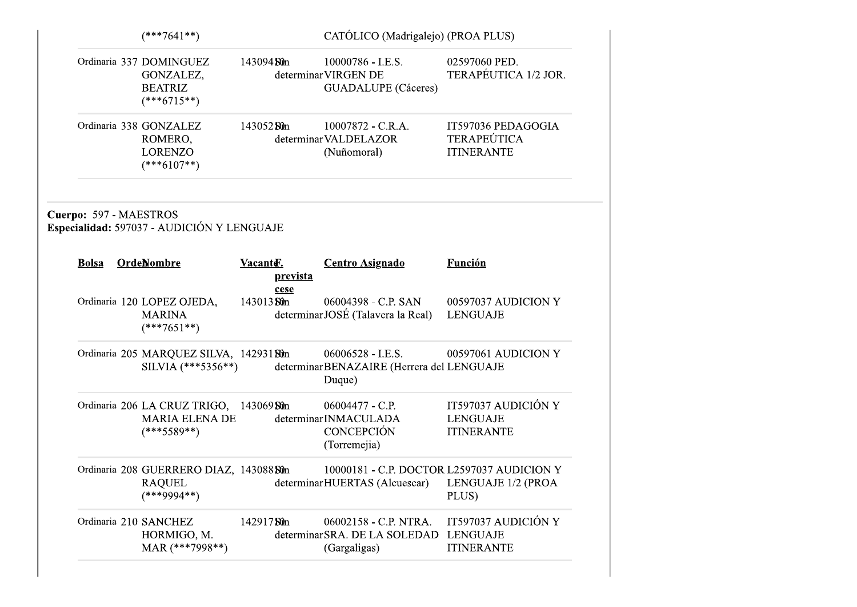|                                        | $(***7641**)$                                                                     |            |                  | CATÓLICO (Madrigalejo) (PROA PLUS)                                                             |                                                               |  |
|----------------------------------------|-----------------------------------------------------------------------------------|------------|------------------|------------------------------------------------------------------------------------------------|---------------------------------------------------------------|--|
|                                        | Ordinaria 337 DOMINGUEZ<br>GONZALEZ,<br><b>BEATRIZ</b><br>$(***6715**)$           | 143094 Sûn |                  | $10000786 - I.E.S.$<br>determinar VIRGEN DE<br><b>GUADALUPE</b> (Cáceres)                      | 02597060 PED.<br>TERAPÉUTICA 1/2 JOR.                         |  |
|                                        | Ordinaria 338 GONZALEZ<br>ROMERO,<br><b>LORENZO</b><br>$(***6107**)$              | 14305250m  |                  | 10007872 - C.R.A.<br>determinar VALDELAZOR<br>(Nuñomoral)                                      | IT597036 PEDAGOGIA<br><b>TERAPEÚTICA</b><br><b>ITINERANTE</b> |  |
| Cuerpo: 597 - MAESTROS<br><b>Bolsa</b> | Especialidad: 597037 - AUDICIÓN Y LENGUAJE<br><b>OrdeNombre</b>                   | Vacante.   |                  | <b>Centro Asignado</b>                                                                         | <b>Función</b>                                                |  |
|                                        | Ordinaria 120 LOPEZ OJEDA,<br><b>MARINA</b><br>$(***7651**)$                      | 143013 Sûn | prevista<br>cese | 06004398 - C.P. SAN<br>determinarJOSÉ (Talavera la Real)                                       | 00597037 AUDICION Y<br><b>LENGUAJE</b>                        |  |
|                                        | Ordinaria 205 MARQUEZ SILVA, 14293180m<br>SILVIA (***5356**)                      |            |                  | $06006528 - I.E.S.$<br>determinarBENAZAIRE (Herrera del LENGUAJE<br>Duque)                     | 00597061 AUDICION Y                                           |  |
|                                        | Ordinaria 206 LA CRUZ TRIGO, 143069 Sûn<br><b>MARIA ELENA DE</b><br>$(***5589**)$ |            |                  | 06004477 - C.P.<br>determinarINMACULADA<br><b>CONCEPCIÓN</b><br>(Torremejia)                   | IT597037 AUDICIÓN Y<br><b>LENGUAJE</b><br><b>ITINERANTE</b>   |  |
|                                        | Ordinaria 208 GUERRERO DIAZ, 143088 Sûn<br><b>RAQUEL</b><br>$(***9994**)$         |            |                  | 10000181 - C.P. DOCTOR L2597037 AUDICION Y<br>determinarHUERTAS (Alcuescar) LENGUAJE 1/2 (PROA | PLUS)                                                         |  |
|                                        | Ordinaria 210 SANCHEZ<br>HORMIGO, M.<br>MAR (***7998**)                           | 14291750m  |                  | 06002158 - C.P. NTRA.<br>determinar SRA. DE LA SOLEDAD<br>(Gargaligas)                         | IT597037 AUDICIÓN Y<br><b>LENGUAJE</b><br><b>ITINERANTE</b>   |  |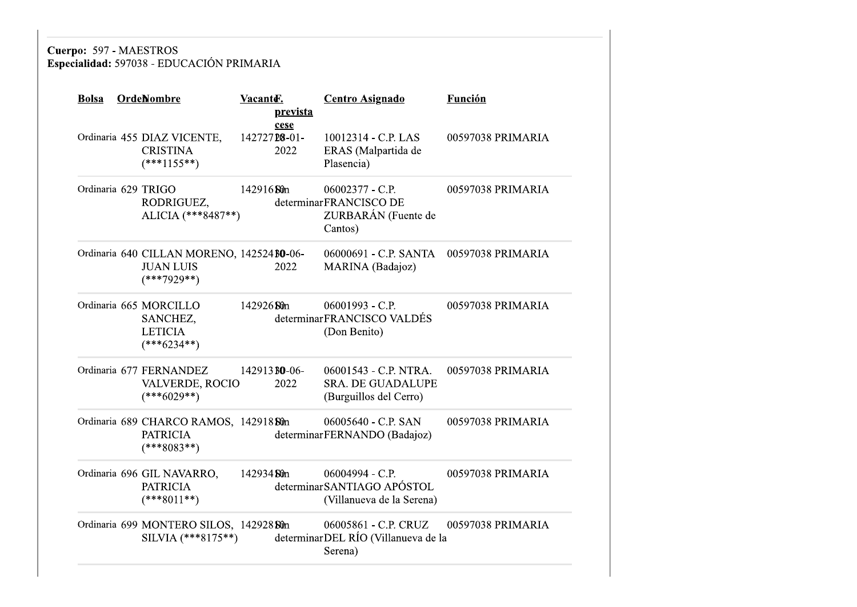# Cuerpo: 597 - MAESTROS<br>Especialidad: 597038 - EDUCACIÓN PRIMARIA

| <b>Bolsa</b>        | <b>OrdeNombre</b>                                                               | Vacante.<br><u>prevista</u>  | <b>Centro Asignado</b>                                                      | <b>Función</b>    |
|---------------------|---------------------------------------------------------------------------------|------------------------------|-----------------------------------------------------------------------------|-------------------|
|                     | Ordinaria 455 DIAZ VICENTE,<br><b>CRISTINA</b><br>$(***1155**)$                 | cese<br>14272728-01-<br>2022 | 10012314 - C.P. LAS<br>ERAS (Malpartida de<br>Plasencia)                    | 00597038 PRIMARIA |
| Ordinaria 629 TRIGO | RODRIGUEZ,<br>ALICIA (***8487**)                                                | 14291680m                    | 06002377 - C.P.<br>determinarFRANCISCO DE<br>ZURBARÁN (Fuente de<br>Cantos) | 00597038 PRIMARIA |
|                     | Ordinaria 640 CILLAN MORENO, 142524 BO-06-<br><b>JUAN LUIS</b><br>$(***7929**)$ | 2022                         | 06000691 - C.P. SANTA<br>MARINA (Badajoz)                                   | 00597038 PRIMARIA |
|                     | Ordinaria 665 MORCILLO<br>SANCHEZ,<br><b>LETICIA</b><br>$(***6234**)$           | 142926 Sun                   | $06001993 - C.P.$<br>determinarFRANCISCO VALDÉS<br>(Don Benito)             | 00597038 PRIMARIA |
|                     | Ordinaria 677 FERNANDEZ<br>VALVERDE, ROCIO<br>$(***6029**)$                     | 142913 <b>BO-06-</b><br>2022 | 06001543 - C.P. NTRA.<br><b>SRA. DE GUADALUPE</b><br>(Burguillos del Cerro) | 00597038 PRIMARIA |
|                     | Ordinaria 689 CHARCO RAMOS, 142918 Sûn<br><b>PATRICIA</b><br>$(***8083**)$      |                              | 06005640 - C.P. SAN<br>determinarFERNANDO (Badajoz)                         | 00597038 PRIMARIA |
|                     | Ordinaria 696 GIL NAVARRO,<br><b>PATRICIA</b><br>$(***8011**)$                  | 142934 Ston                  | 06004994 - C.P.<br>determinar SANTIAGO APÓSTOL<br>(Villanueva de la Serena) | 00597038 PRIMARIA |
|                     | Ordinaria 699 MONTERO SILOS, 142928 Sûn<br>SILVIA $(***8175**)$                 |                              | 06005861 - C.P. CRUZ<br>determinarDEL RÍO (Villanueva de la<br>Serena)      | 00597038 PRIMARIA |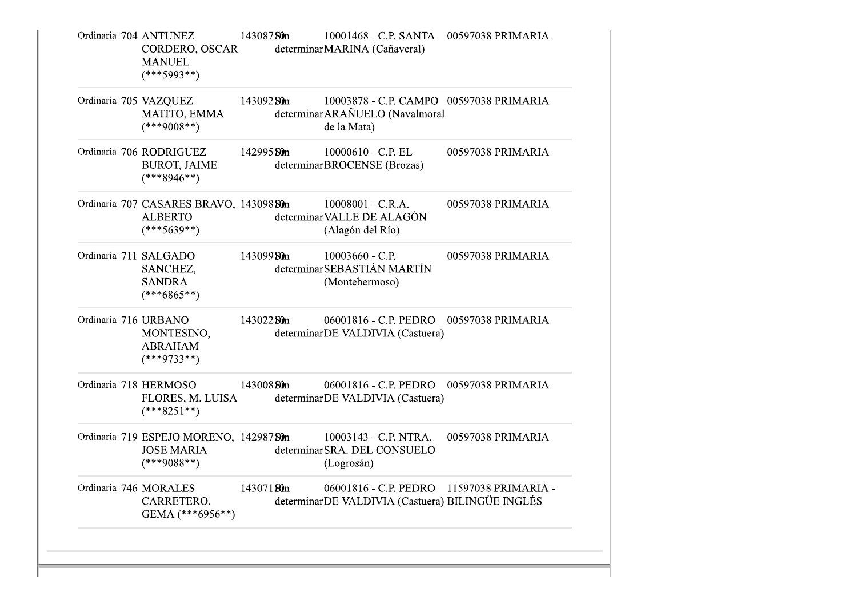|  | Ordinaria 704 ANTUNEZ<br>CORDERO, OSCAR<br><b>MANUEL</b><br>$(***5993**)$                    | 14308750m   | 10001468 - C.P. SANTA 00597038 PRIMARIA<br>determinarMARINA (Cañaveral)                       |                   |
|--|----------------------------------------------------------------------------------------------|-------------|-----------------------------------------------------------------------------------------------|-------------------|
|  | Ordinaria 705 VAZQUEZ<br>MATITO, EMMA<br>$(***9008**)$                                       | 143092 Sûn  | 10003878 - C.P. CAMPO 00597038 PRIMARIA<br>determinar ARAÑUELO (Navalmoral<br>de la Mata)     |                   |
|  | Ordinaria 706 RODRIGUEZ<br><b>BUROT, JAIME</b><br>$(***8946**)$                              | 142995 St0n | 10000610 - C.P. EL<br>determinarBROCENSE (Brozas)                                             | 00597038 PRIMARIA |
|  | Ordinaria 707 CASARES BRAVO, 143098 80n 10008001 - C.R.A.<br><b>ALBERTO</b><br>$(***5639**)$ |             | determinar VALLE DE ALAGÓN<br>(Alagón del Río)                                                | 00597038 PRIMARIA |
|  | Ordinaria 711 SALGADO<br>SANCHEZ,<br><b>SANDRA</b><br>$(***6865**)$                          | 14309950m   | $10003660$ - C.P.<br>determinar SEBASTIÁN MARTÍN<br>(Montehermoso)                            | 00597038 PRIMARIA |
|  | Ordinaria 716 URBANO<br>MONTESINO,<br><b>ABRAHAM</b><br>$(***9733**)$                        | 14302250m   | 06001816 - C.P. PEDRO 00597038 PRIMARIA<br>determinarDE VALDIVIA (Castuera)                   |                   |
|  | Ordinaria 718 HERMOSO<br>FLORES, M. LUISA<br>$(***8251**)$                                   | 143008 St0n | 06001816 - C.P. PEDRO 00597038 PRIMARIA<br>determinarDE VALDIVIA (Castuera)                   |                   |
|  | Ordinaria 719 ESPEJO MORENO, 14298780n<br><b>JOSE MARIA</b><br>$(***9088**)$                 |             | 10003143 - C.P. NTRA.<br>determinarSRA. DEL CONSUELO<br>(Logrosán)                            | 00597038 PRIMARIA |
|  | Ordinaria 746 MORALES<br>CARRETERO,<br>GEMA $(***6956**)$                                    | 14307180m   | 06001816 - C.P. PEDRO 11597038 PRIMARIA -<br>determinarDE VALDIVIA (Castuera) BILINGÜE INGLÉS |                   |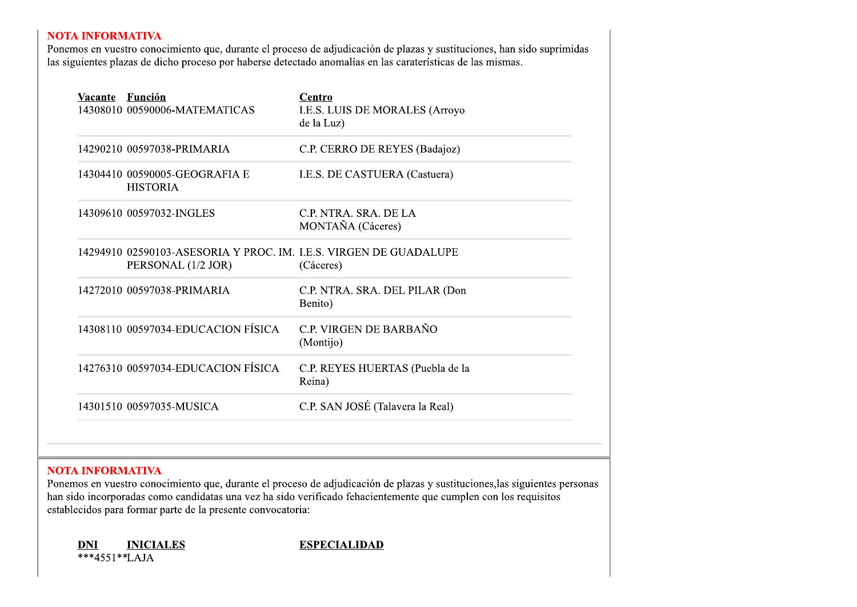| Vacante Función<br>14308010 00590006-MATEMATICAS                                        | <b>Centro</b><br>I.E.S. LUIS DE MORALES (Arroyo<br>de la Luz)  |
|-----------------------------------------------------------------------------------------|----------------------------------------------------------------|
| 14290210 00597038-PRIMARIA<br>14304410 00590005-GEOGRAFIA E<br><b>HISTORIA</b>          | C.P. CERRO DE REYES (Badajoz)<br>I.E.S. DE CASTUERA (Castuera) |
| 14309610 00597032-INGLES                                                                | C.P. NTRA. SRA. DE LA<br>MONTAÑA (Cáceres)                     |
| 14294910 02590103-ASESORIA Y PROC. IM. I.E.S. VIRGEN DE GUADALUPE<br>PERSONAL (1/2 JOR) | (Cáceres)                                                      |
| 14272010 00597038-PRIMARIA                                                              | C.P. NTRA. SRA. DEL PILAR (Don<br>Benito)                      |
| 14308110 00597034-EDUCACION FÍSICA                                                      | C.P. VIRGEN DE BARBAÑO<br>(Montijo)                            |
| 14276310 00597034-EDUCACION FÍSICA                                                      | C.P. REYES HUERTAS (Puebla de la<br>Reina)                     |
| 14301510 00597035-MUSICA                                                                | C.P. SAN JOSÉ (Talavera la Real)                               |

14301510 00597035-MUSICA C.P. SAN JOSÉ (Talavera<br> **NOTA INFORMATIVA**<br>
Ponemos en vuestro conocimiento que, durante el proceso de adjudicación de plazz<br>
han sido incorporadas como candidatas una vez ha sido verificado fehac **NOTA INFORMATIVA**<br>
Ponemos en vuestro conocimiento que, durante el proceso de adjudicación de plazas y sustitucio<br>
han sido incorporadas como candidatas una vez ha sido verificado fehacientemente que cumplen<br>
establecidos **NOTA INFORMATIVA**<br>
Ponemos en vuestro conocimiento que, durant<br>
han sido incorporadas como candidatas una ve<br>
establecidos para formar parte de la presente c<br> **DNI**<br> **INICIALES**<br>
\*\*\*4551\*\*LAJA